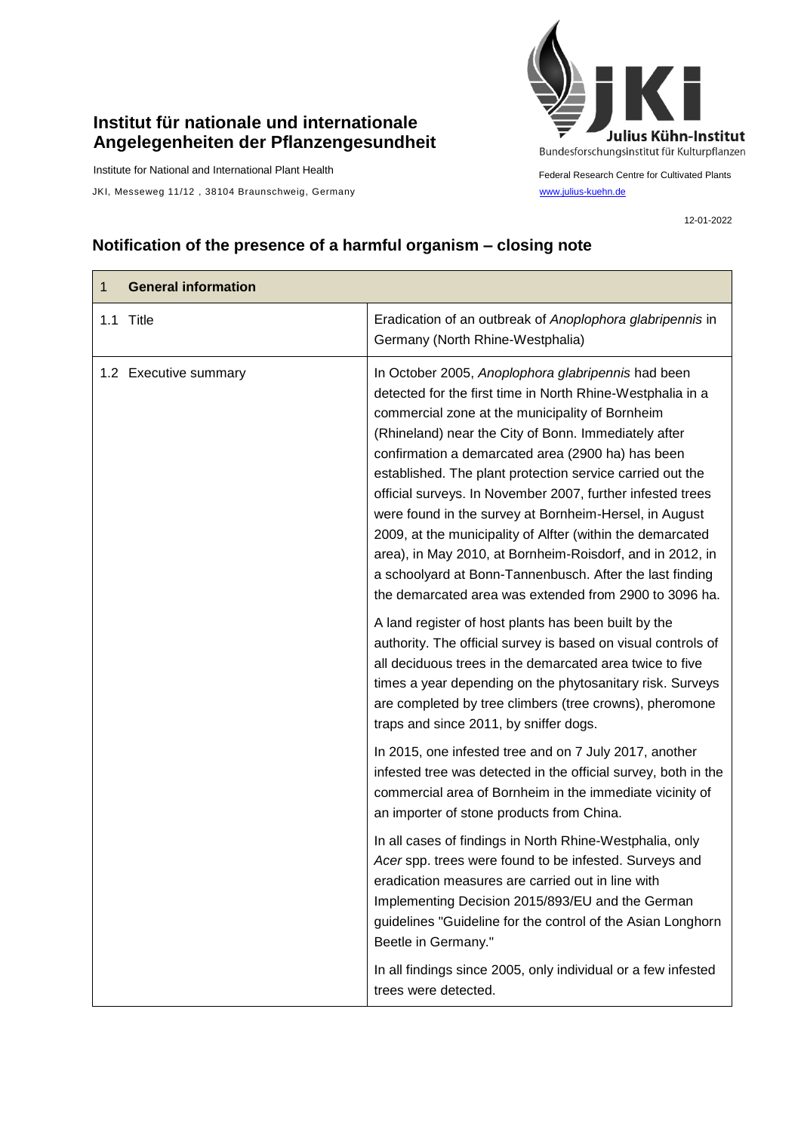## **Institut für nationale und internationale Angelegenheiten der Pflanzengesundheit**

Institute for National and International Plant Health

JKI, Messeweg 11/12, 38104 Braunschweig, Germany [www.julius-kuehn.de](http://www.julius-kuehn.de/)



Federal Research Centre for Cultivated Plants

12-01-2022

## **Notification of the presence of a harmful organism – closing note**

| 1 | <b>General information</b> |                                                                                                                                                                                                                                                                                                                                                                                                                                                                                                                                                                                                                                                                                                                        |
|---|----------------------------|------------------------------------------------------------------------------------------------------------------------------------------------------------------------------------------------------------------------------------------------------------------------------------------------------------------------------------------------------------------------------------------------------------------------------------------------------------------------------------------------------------------------------------------------------------------------------------------------------------------------------------------------------------------------------------------------------------------------|
|   | 1.1 Title                  | Eradication of an outbreak of Anoplophora glabripennis in<br>Germany (North Rhine-Westphalia)                                                                                                                                                                                                                                                                                                                                                                                                                                                                                                                                                                                                                          |
|   | 1.2 Executive summary      | In October 2005, Anoplophora glabripennis had been<br>detected for the first time in North Rhine-Westphalia in a<br>commercial zone at the municipality of Bornheim<br>(Rhineland) near the City of Bonn. Immediately after<br>confirmation a demarcated area (2900 ha) has been<br>established. The plant protection service carried out the<br>official surveys. In November 2007, further infested trees<br>were found in the survey at Bornheim-Hersel, in August<br>2009, at the municipality of Alfter (within the demarcated<br>area), in May 2010, at Bornheim-Roisdorf, and in 2012, in<br>a schoolyard at Bonn-Tannenbusch. After the last finding<br>the demarcated area was extended from 2900 to 3096 ha. |
|   |                            | A land register of host plants has been built by the<br>authority. The official survey is based on visual controls of<br>all deciduous trees in the demarcated area twice to five<br>times a year depending on the phytosanitary risk. Surveys<br>are completed by tree climbers (tree crowns), pheromone<br>traps and since 2011, by sniffer dogs.                                                                                                                                                                                                                                                                                                                                                                    |
|   |                            | In 2015, one infested tree and on 7 July 2017, another<br>infested tree was detected in the official survey, both in the<br>commercial area of Bornheim in the immediate vicinity of<br>an importer of stone products from China.                                                                                                                                                                                                                                                                                                                                                                                                                                                                                      |
|   |                            | In all cases of findings in North Rhine-Westphalia, only<br>Acer spp. trees were found to be infested. Surveys and<br>eradication measures are carried out in line with<br>Implementing Decision 2015/893/EU and the German<br>guidelines "Guideline for the control of the Asian Longhorn<br>Beetle in Germany."                                                                                                                                                                                                                                                                                                                                                                                                      |
|   |                            | In all findings since 2005, only individual or a few infested<br>trees were detected.                                                                                                                                                                                                                                                                                                                                                                                                                                                                                                                                                                                                                                  |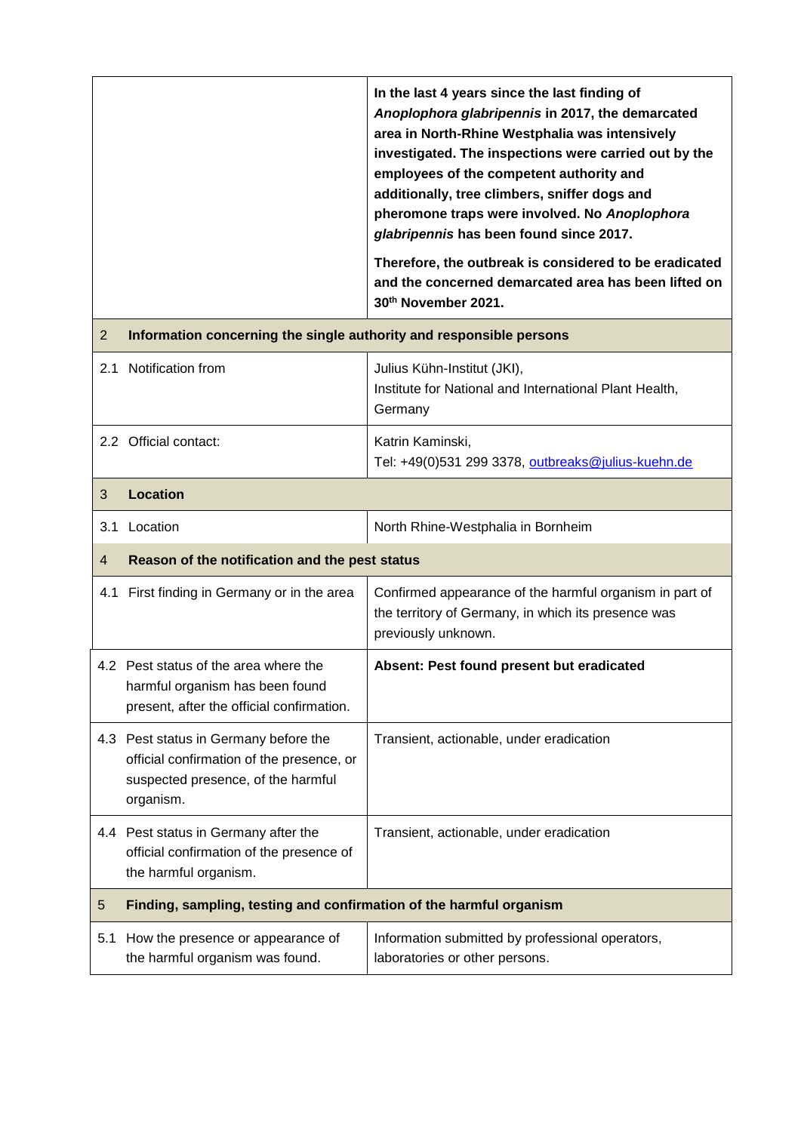|    |                                                                     | In the last 4 years since the last finding of<br>Anoplophora glabripennis in 2017, the demarcated<br>area in North-Rhine Westphalia was intensively<br>investigated. The inspections were carried out by the<br>employees of the competent authority and<br>additionally, tree climbers, sniffer dogs and<br>pheromone traps were involved. No Anoplophora<br>glabripennis has been found since 2017.<br>Therefore, the outbreak is considered to be eradicated<br>and the concerned demarcated area has been lifted on<br>30 <sup>th</sup> November 2021. |
|----|---------------------------------------------------------------------|------------------------------------------------------------------------------------------------------------------------------------------------------------------------------------------------------------------------------------------------------------------------------------------------------------------------------------------------------------------------------------------------------------------------------------------------------------------------------------------------------------------------------------------------------------|
| 2  | Information concerning the single authority and responsible persons |                                                                                                                                                                                                                                                                                                                                                                                                                                                                                                                                                            |
| 21 | Notification from                                                   | Julius Kühn-Institut (JKI),<br>Institute for National and International Plant Health,<br>Germany                                                                                                                                                                                                                                                                                                                                                                                                                                                           |
|    | 2.2 Official contact:                                               | Katrin Kaminski,<br>Tel: +49(0)531 299 3378, outbreaks@julius-kuehn.de                                                                                                                                                                                                                                                                                                                                                                                                                                                                                     |
| 3  | Location                                                            |                                                                                                                                                                                                                                                                                                                                                                                                                                                                                                                                                            |
|    | $0.4 \text{ J}$                                                     | Nauth Dhina Wastabalis in Daughsin                                                                                                                                                                                                                                                                                                                                                                                                                                                                                                                         |

| l 3.1 | Location                                       | North Rhine-Westphalia in Bornheim                                                                                |
|-------|------------------------------------------------|-------------------------------------------------------------------------------------------------------------------|
|       | Reason of the notification and the pest status |                                                                                                                   |
|       |                                                | $\mid$ 4.1 First finding in Germany or in the area $\mid$ Confirmed appearance of the harmful organism in part of |

 $\mathbf{I}$ 

|     | 4.1 First finding in Germany or in the area                                                                                           | Confirmed appearance of the harmful organism in part of<br>the territory of Germany, in which its presence was<br>previously unknown. |
|-----|---------------------------------------------------------------------------------------------------------------------------------------|---------------------------------------------------------------------------------------------------------------------------------------|
|     | 4.2 Pest status of the area where the<br>harmful organism has been found<br>present, after the official confirmation.                 | Absent: Pest found present but eradicated                                                                                             |
|     | 4.3 Pest status in Germany before the<br>official confirmation of the presence, or<br>suspected presence, of the harmful<br>organism. | Transient, actionable, under eradication                                                                                              |
|     | 4.4 Pest status in Germany after the<br>official confirmation of the presence of<br>the harmful organism.                             | Transient, actionable, under eradication                                                                                              |
| 5   | Finding, sampling, testing and confirmation of the harmful organism                                                                   |                                                                                                                                       |
| 5.1 | How the presence or appearance of<br>the harmful organism was found.                                                                  | Information submitted by professional operators,<br>laboratories or other persons.                                                    |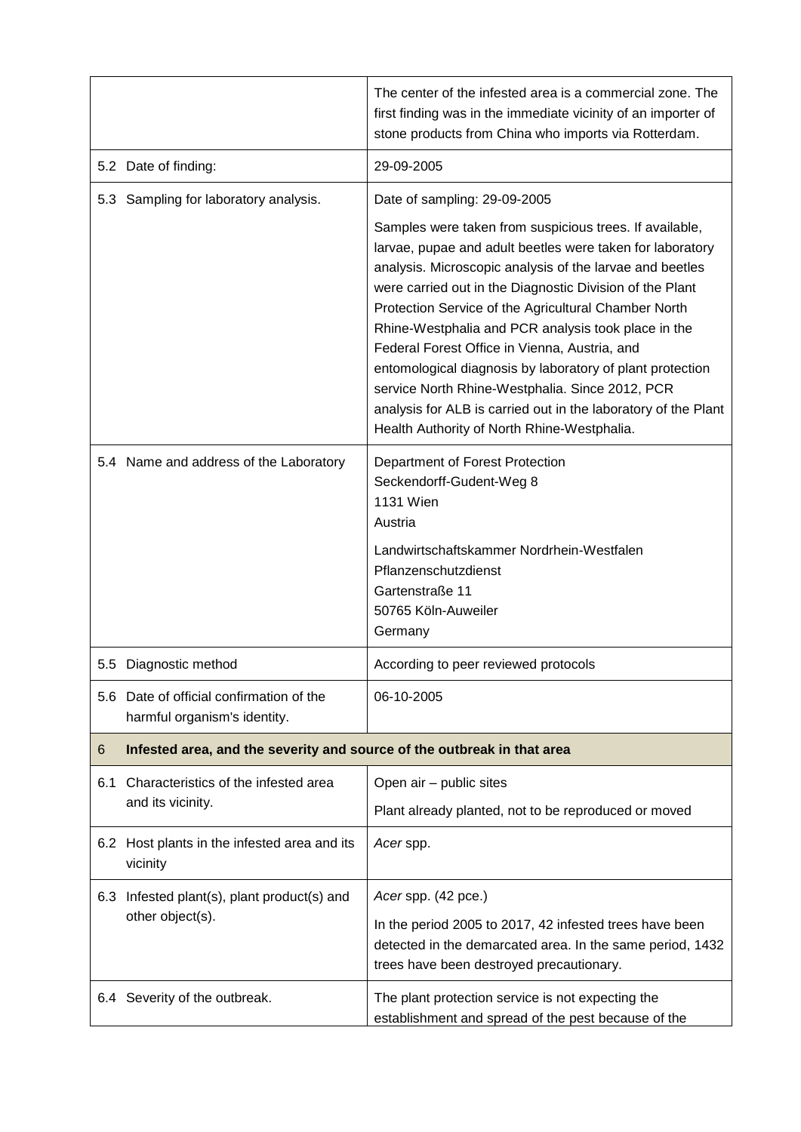|     |                                                                          | The center of the infested area is a commercial zone. The<br>first finding was in the immediate vicinity of an importer of<br>stone products from China who imports via Rotterdam.                                                                                                                                                                                                                                                                                                                                                                                                                                                            |
|-----|--------------------------------------------------------------------------|-----------------------------------------------------------------------------------------------------------------------------------------------------------------------------------------------------------------------------------------------------------------------------------------------------------------------------------------------------------------------------------------------------------------------------------------------------------------------------------------------------------------------------------------------------------------------------------------------------------------------------------------------|
|     | 5.2 Date of finding:                                                     | 29-09-2005                                                                                                                                                                                                                                                                                                                                                                                                                                                                                                                                                                                                                                    |
|     | 5.3 Sampling for laboratory analysis.                                    | Date of sampling: 29-09-2005                                                                                                                                                                                                                                                                                                                                                                                                                                                                                                                                                                                                                  |
|     |                                                                          | Samples were taken from suspicious trees. If available,<br>larvae, pupae and adult beetles were taken for laboratory<br>analysis. Microscopic analysis of the larvae and beetles<br>were carried out in the Diagnostic Division of the Plant<br>Protection Service of the Agricultural Chamber North<br>Rhine-Westphalia and PCR analysis took place in the<br>Federal Forest Office in Vienna, Austria, and<br>entomological diagnosis by laboratory of plant protection<br>service North Rhine-Westphalia. Since 2012, PCR<br>analysis for ALB is carried out in the laboratory of the Plant<br>Health Authority of North Rhine-Westphalia. |
|     | 5.4 Name and address of the Laboratory                                   | Department of Forest Protection<br>Seckendorff-Gudent-Weg 8<br><b>1131 Wien</b><br>Austria<br>Landwirtschaftskammer Nordrhein-Westfalen<br>Pflanzenschutzdienst<br>Gartenstraße 11<br>50765 Köln-Auweiler<br>Germany                                                                                                                                                                                                                                                                                                                                                                                                                          |
|     | 5.5 Diagnostic method                                                    | According to peer reviewed protocols                                                                                                                                                                                                                                                                                                                                                                                                                                                                                                                                                                                                          |
|     | 5.6 Date of official confirmation of the<br>harmful organism's identity. | 06-10-2005                                                                                                                                                                                                                                                                                                                                                                                                                                                                                                                                                                                                                                    |
| 6   | Infested area, and the severity and source of the outbreak in that area  |                                                                                                                                                                                                                                                                                                                                                                                                                                                                                                                                                                                                                                               |
| 6.1 | Characteristics of the infested area<br>and its vicinity.                | Open air - public sites                                                                                                                                                                                                                                                                                                                                                                                                                                                                                                                                                                                                                       |
|     |                                                                          | Plant already planted, not to be reproduced or moved                                                                                                                                                                                                                                                                                                                                                                                                                                                                                                                                                                                          |
|     | 6.2 Host plants in the infested area and its<br>vicinity                 | Acer spp.                                                                                                                                                                                                                                                                                                                                                                                                                                                                                                                                                                                                                                     |
| 6.3 | Infested plant(s), plant product(s) and<br>other object(s).              | Acer spp. (42 pce.)<br>In the period 2005 to 2017, 42 infested trees have been<br>detected in the demarcated area. In the same period, 1432<br>trees have been destroyed precautionary.                                                                                                                                                                                                                                                                                                                                                                                                                                                       |
|     | 6.4 Severity of the outbreak.                                            | The plant protection service is not expecting the<br>establishment and spread of the pest because of the                                                                                                                                                                                                                                                                                                                                                                                                                                                                                                                                      |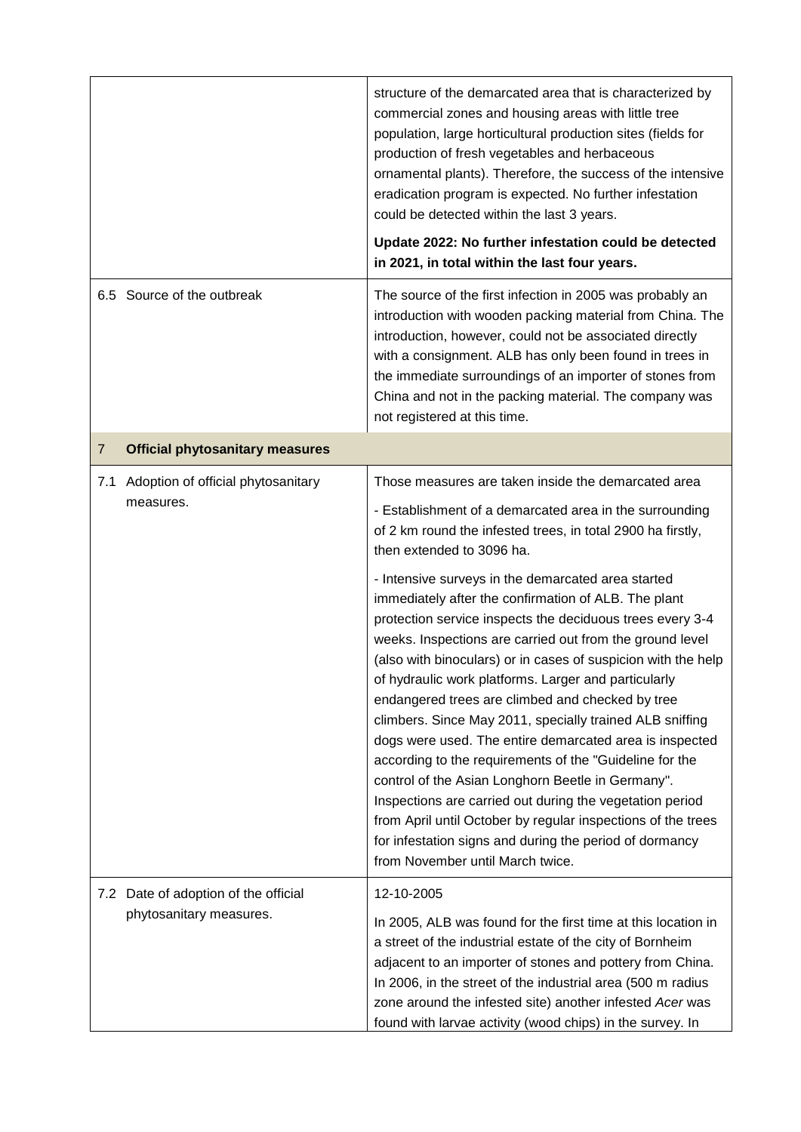|                |                                                                 | structure of the demarcated area that is characterized by<br>commercial zones and housing areas with little tree<br>population, large horticultural production sites (fields for<br>production of fresh vegetables and herbaceous<br>ornamental plants). Therefore, the success of the intensive<br>eradication program is expected. No further infestation<br>could be detected within the last 3 years.<br>Update 2022: No further infestation could be detected<br>in 2021, in total within the last four years.                                                                                                                                                                                                                                                                                                                                                                                                                                                                                                                                                                              |
|----------------|-----------------------------------------------------------------|--------------------------------------------------------------------------------------------------------------------------------------------------------------------------------------------------------------------------------------------------------------------------------------------------------------------------------------------------------------------------------------------------------------------------------------------------------------------------------------------------------------------------------------------------------------------------------------------------------------------------------------------------------------------------------------------------------------------------------------------------------------------------------------------------------------------------------------------------------------------------------------------------------------------------------------------------------------------------------------------------------------------------------------------------------------------------------------------------|
|                | 6.5 Source of the outbreak                                      | The source of the first infection in 2005 was probably an<br>introduction with wooden packing material from China. The<br>introduction, however, could not be associated directly<br>with a consignment. ALB has only been found in trees in<br>the immediate surroundings of an importer of stones from<br>China and not in the packing material. The company was<br>not registered at this time.                                                                                                                                                                                                                                                                                                                                                                                                                                                                                                                                                                                                                                                                                               |
| $\overline{7}$ | <b>Official phytosanitary measures</b>                          |                                                                                                                                                                                                                                                                                                                                                                                                                                                                                                                                                                                                                                                                                                                                                                                                                                                                                                                                                                                                                                                                                                  |
| 7.1            | Adoption of official phytosanitary<br>measures.                 | Those measures are taken inside the demarcated area<br>- Establishment of a demarcated area in the surrounding<br>of 2 km round the infested trees, in total 2900 ha firstly,<br>then extended to 3096 ha.<br>- Intensive surveys in the demarcated area started<br>immediately after the confirmation of ALB. The plant<br>protection service inspects the deciduous trees every 3-4<br>weeks. Inspections are carried out from the ground level<br>(also with binoculars) or in cases of suspicion with the help<br>of hydraulic work platforms. Larger and particularly<br>endangered trees are climbed and checked by tree<br>climbers. Since May 2011, specially trained ALB sniffing<br>dogs were used. The entire demarcated area is inspected<br>according to the requirements of the "Guideline for the<br>control of the Asian Longhorn Beetle in Germany".<br>Inspections are carried out during the vegetation period<br>from April until October by regular inspections of the trees<br>for infestation signs and during the period of dormancy<br>from November until March twice. |
|                | 7.2 Date of adoption of the official<br>phytosanitary measures. | 12-10-2005<br>In 2005, ALB was found for the first time at this location in<br>a street of the industrial estate of the city of Bornheim<br>adjacent to an importer of stones and pottery from China.<br>In 2006, in the street of the industrial area (500 m radius<br>zone around the infested site) another infested Acer was<br>found with larvae activity (wood chips) in the survey. In                                                                                                                                                                                                                                                                                                                                                                                                                                                                                                                                                                                                                                                                                                    |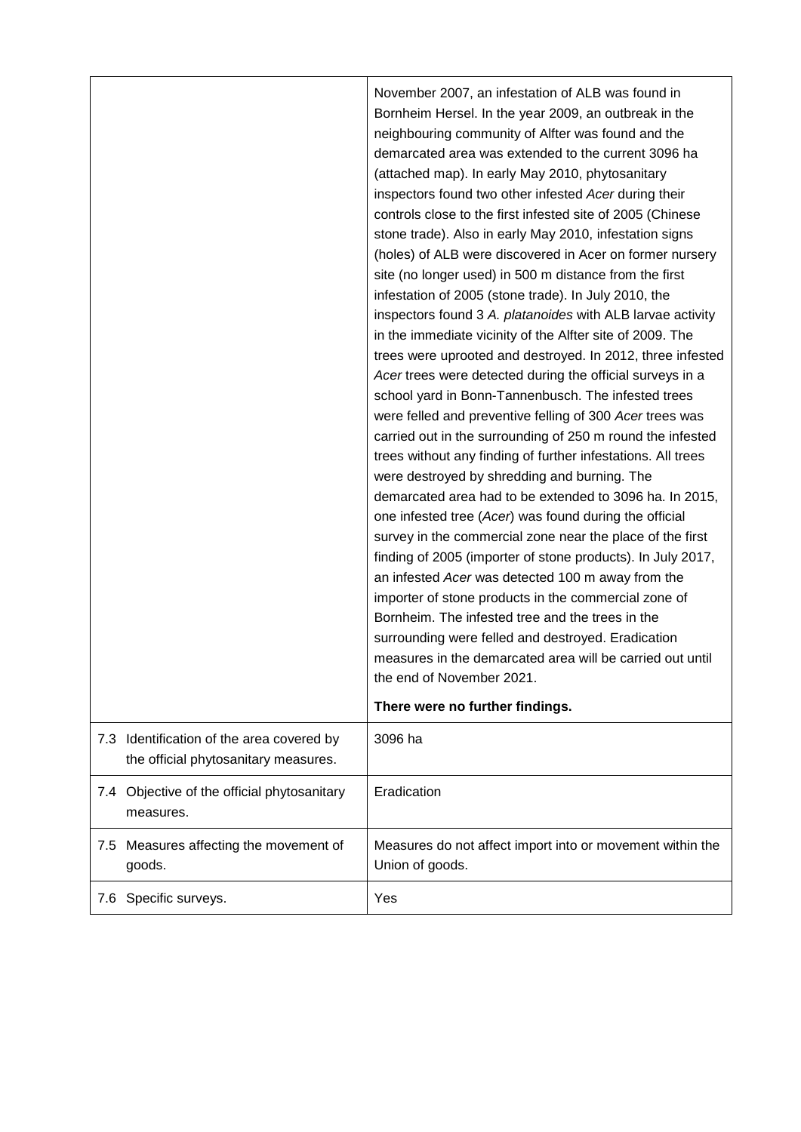|                                                                                   | November 2007, an infestation of ALB was found in<br>Bornheim Hersel. In the year 2009, an outbreak in the<br>neighbouring community of Alfter was found and the<br>demarcated area was extended to the current 3096 ha<br>(attached map). In early May 2010, phytosanitary<br>inspectors found two other infested Acer during their<br>controls close to the first infested site of 2005 (Chinese<br>stone trade). Also in early May 2010, infestation signs<br>(holes) of ALB were discovered in Acer on former nursery<br>site (no longer used) in 500 m distance from the first<br>infestation of 2005 (stone trade). In July 2010, the<br>inspectors found 3 A. platanoides with ALB larvae activity<br>in the immediate vicinity of the Alfter site of 2009. The<br>trees were uprooted and destroyed. In 2012, three infested<br>Acer trees were detected during the official surveys in a<br>school yard in Bonn-Tannenbusch. The infested trees<br>were felled and preventive felling of 300 Acer trees was<br>carried out in the surrounding of 250 m round the infested<br>trees without any finding of further infestations. All trees<br>were destroyed by shredding and burning. The<br>demarcated area had to be extended to 3096 ha. In 2015,<br>one infested tree (Acer) was found during the official<br>survey in the commercial zone near the place of the first<br>finding of 2005 (importer of stone products). In July 2017,<br>an infested Acer was detected 100 m away from the<br>importer of stone products in the commercial zone of<br>Bornheim. The infested tree and the trees in the<br>surrounding were felled and destroyed. Eradication<br>measures in the demarcated area will be carried out until<br>the end of November 2021.<br>There were no further findings. |
|-----------------------------------------------------------------------------------|---------------------------------------------------------------------------------------------------------------------------------------------------------------------------------------------------------------------------------------------------------------------------------------------------------------------------------------------------------------------------------------------------------------------------------------------------------------------------------------------------------------------------------------------------------------------------------------------------------------------------------------------------------------------------------------------------------------------------------------------------------------------------------------------------------------------------------------------------------------------------------------------------------------------------------------------------------------------------------------------------------------------------------------------------------------------------------------------------------------------------------------------------------------------------------------------------------------------------------------------------------------------------------------------------------------------------------------------------------------------------------------------------------------------------------------------------------------------------------------------------------------------------------------------------------------------------------------------------------------------------------------------------------------------------------------------------------------------------------------------------------------------------------------------------------|
| 7.3 Identification of the area covered by<br>the official phytosanitary measures. | 3096 ha                                                                                                                                                                                                                                                                                                                                                                                                                                                                                                                                                                                                                                                                                                                                                                                                                                                                                                                                                                                                                                                                                                                                                                                                                                                                                                                                                                                                                                                                                                                                                                                                                                                                                                                                                                                                 |
| Objective of the official phytosanitary<br>7.4<br>measures.                       | Eradication                                                                                                                                                                                                                                                                                                                                                                                                                                                                                                                                                                                                                                                                                                                                                                                                                                                                                                                                                                                                                                                                                                                                                                                                                                                                                                                                                                                                                                                                                                                                                                                                                                                                                                                                                                                             |
| 7.5 Measures affecting the movement of<br>goods.                                  | Measures do not affect import into or movement within the<br>Union of goods.                                                                                                                                                                                                                                                                                                                                                                                                                                                                                                                                                                                                                                                                                                                                                                                                                                                                                                                                                                                                                                                                                                                                                                                                                                                                                                                                                                                                                                                                                                                                                                                                                                                                                                                            |
| Specific surveys.<br>7.6                                                          | Yes                                                                                                                                                                                                                                                                                                                                                                                                                                                                                                                                                                                                                                                                                                                                                                                                                                                                                                                                                                                                                                                                                                                                                                                                                                                                                                                                                                                                                                                                                                                                                                                                                                                                                                                                                                                                     |